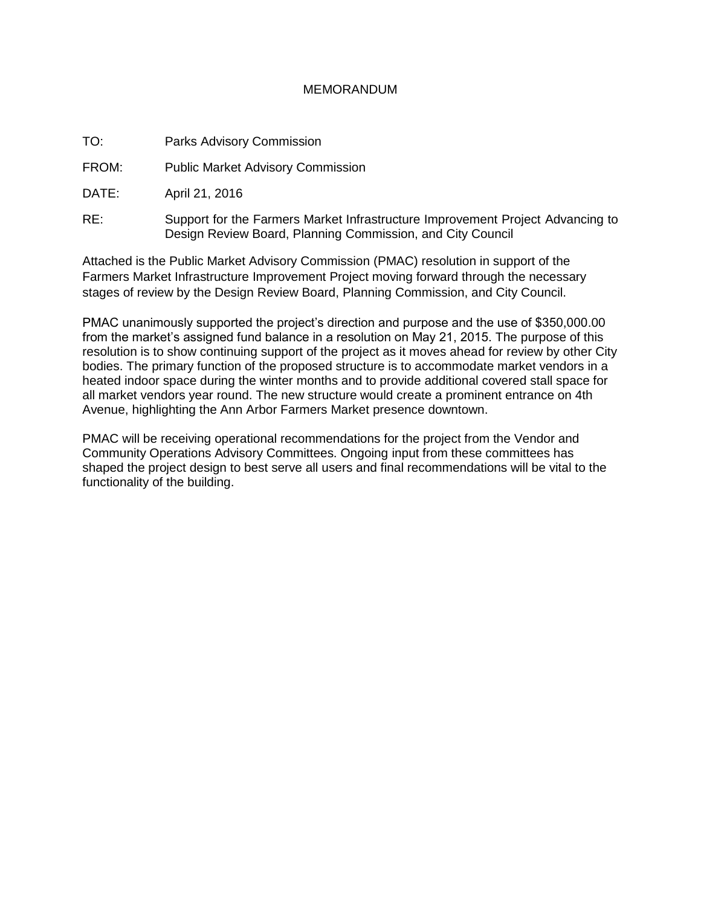## MEMORANDUM

TO: Parks Advisory Commission

FROM: Public Market Advisory Commission

DATE: April 21, 2016

RE: Support for the Farmers Market Infrastructure Improvement Project Advancing to Design Review Board, Planning Commission, and City Council

Attached is the Public Market Advisory Commission (PMAC) resolution in support of the Farmers Market Infrastructure Improvement Project moving forward through the necessary stages of review by the Design Review Board, Planning Commission, and City Council.

PMAC unanimously supported the project's direction and purpose and the use of \$350,000.00 from the market's assigned fund balance in a resolution on May 21, 2015. The purpose of this resolution is to show continuing support of the project as it moves ahead for review by other City bodies. The primary function of the proposed structure is to accommodate market vendors in a heated indoor space during the winter months and to provide additional covered stall space for all market vendors year round. The new structure would create a prominent entrance on 4th Avenue, highlighting the Ann Arbor Farmers Market presence downtown.

PMAC will be receiving operational recommendations for the project from the Vendor and Community Operations Advisory Committees. Ongoing input from these committees has shaped the project design to best serve all users and final recommendations will be vital to the functionality of the building.